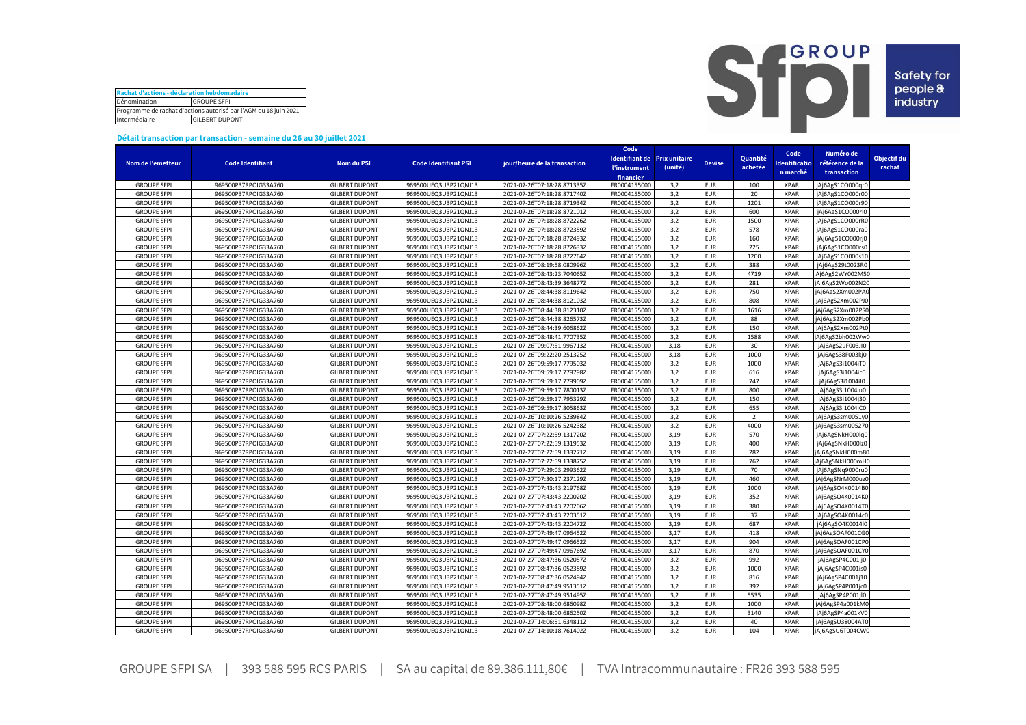| Rachat d'actions - déclaration hebdomadaire                      |  |  |  |  |  |  |  |  |
|------------------------------------------------------------------|--|--|--|--|--|--|--|--|
| Dénomination<br><b>GROUPE SFPI</b>                               |  |  |  |  |  |  |  |  |
| Programme de rachat d'actions autorisé par l'AGM du 18 juin 2021 |  |  |  |  |  |  |  |  |
| Intermédiaire<br><b>GILBERT DUPONT</b>                           |  |  |  |  |  |  |  |  |



## **Détail transaction par transaction - semaine du 26 au 30 juillet 2021**

|                                          |                                              |                       |                                              |                                                            | Code         |                                     |               |                |              |                  |             |
|------------------------------------------|----------------------------------------------|-----------------------|----------------------------------------------|------------------------------------------------------------|--------------|-------------------------------------|---------------|----------------|--------------|------------------|-------------|
|                                          |                                              |                       |                                              |                                                            |              | <b>Identifiant de Prix unitaire</b> |               | Quantité       | Code         | Numéro de        | Objectif du |
| Nom de l'emetteur                        | <b>Code Identifiant</b>                      | <b>Nom du PSI</b>     | <b>Code Identifiant PSI</b>                  | jour/heure de la transaction                               | l'instrument | (unité)                             | <b>Devise</b> | achetée        | dentificatio | référence de la  | rachat      |
|                                          |                                              |                       |                                              |                                                            | financier    |                                     |               |                | n marché     | transaction      |             |
| <b>GROUPE SFPI</b>                       | 969500P37RPOIG33A760                         | <b>GILBERT DUPONT</b> | 969500UEQ3U3P21QNJ13                         | 2021-07-26T07:18:28.871335Z                                | FR0004155000 | 3,2                                 | <b>EUR</b>    | 100            | <b>XPAR</b>  | jAj6AgS1CO000qr0 |             |
| <b>GROUPE SFPI</b>                       | 969500P37RPOIG33A760                         | <b>GILBERT DUPONT</b> | 969500UEQ3U3P21QNJ13                         | 2021-07-26T07:18:28.871740Z                                | FR0004155000 | 3,2                                 | <b>EUR</b>    | 20             | <b>XPAR</b>  | jAj6AgS1CO000r00 |             |
| <b>GROUPE SFPI</b>                       | 969500P37RPOIG33A760                         | <b>GILBERT DUPONT</b> | 969500UEQ3U3P21QNJ13                         | 2021-07-26T07:18:28.871934Z                                | FR0004155000 | 3,2                                 | <b>EUR</b>    | 1201           | <b>XPAR</b>  | jAj6AgS1CO000r90 |             |
| <b>GROUPE SFPI</b>                       | 969500P37RPOIG33A760                         | <b>GILBERT DUPONT</b> | 969500UEQ3U3P21QNJ13                         | 2021-07-26T07:18:28.872101Z                                | FR0004155000 | 3,2                                 | <b>EUR</b>    | 600            | <b>XPAR</b>  | jAj6AgS1CO000rl0 |             |
| <b>GROUPE SFPI</b>                       | 969500P37RPOIG33A760                         | <b>GILBERT DUPONT</b> | 969500UEQ3U3P21QNJ13                         | 2021-07-26T07:18:28.872226Z                                | FR0004155000 | 3,2                                 | <b>EUR</b>    | 1500           | <b>XPAR</b>  | jAj6AgS1CO000rR0 |             |
| <b>GROUPE SFPI</b>                       | 969500P37RPOIG33A760                         | <b>GILBERT DUPONT</b> | 969500UEQ3U3P21QNJ13                         | 2021-07-26T07:18:28.872359Z                                | FR0004155000 | 3,2                                 | <b>EUR</b>    | 578            | <b>XPAR</b>  | jAj6AgS1CO000ra0 |             |
| <b>GROUPE SFPI</b>                       | 969500P37RPOIG33A760                         | <b>GILBERT DUPONT</b> | 969500UEQ3U3P21QNJ13                         | 2021-07-26T07:18:28.872493Z                                | FR0004155000 | 3,2                                 | <b>EUR</b>    | 160            | <b>XPAR</b>  | jAj6AgS1CO000rj0 |             |
| <b>GROUPE SFPI</b>                       | 969500P37RPOIG33A760                         | <b>GILBERT DUPONT</b> | 969500UEQ3U3P21QNJ13                         | 2021-07-26T07:18:28.872633Z                                | FR0004155000 | 3,2                                 | <b>EUR</b>    | 225            | <b>XPAR</b>  | jAj6AgS1CO000rs0 |             |
| <b>GROUPE SFPI</b>                       | 969500P37RPOIG33A760                         | <b>GILBERT DUPONT</b> | 969500UEQ3U3P21QNJ13                         | 2021-07-26T07:18:28.872764Z                                | FR0004155000 | 3,2                                 | <b>EUR</b>    | 1200           | <b>XPAR</b>  | jAj6AgS1CO000s10 |             |
| <b>GROUPE SFPI</b>                       | 969500P37RPOIG33A760                         | <b>GILBERT DUPONT</b> | 969500UEQ3U3P21QNJ13                         | 2021-07-26T08:19:58.080996Z                                | FR0004155000 | 3,2                                 | <b>EUR</b>    | 388            | <b>XPAR</b>  | jAj6AgS29t0023R0 |             |
| <b>GROUPE SFPI</b>                       | 969500P37RPOIG33A760                         | <b>GILBERT DUPONT</b> | 969500UEQ3U3P21QNJ13                         | 2021-07-26T08:43:23.704065Z                                | FR0004155000 | 3,2                                 | <b>EUR</b>    | 4719           | <b>XPAR</b>  | jAj6AgS2WY002M50 |             |
| <b>GROUPE SFPI</b>                       | 969500P37RPOIG33A760                         | <b>GILBERT DUPONT</b> | 969500UEQ3U3P21QNJ13                         | 2021-07-26T08:43:39.364877Z                                | FR0004155000 | 3,2                                 | <b>EUR</b>    | 281            | <b>XPAR</b>  | jAj6AgS2Wo002N20 |             |
| <b>GROUPE SFPI</b>                       | 969500P37RPOIG33A760                         | <b>GILBERT DUPONT</b> | 969500UEQ3U3P21QNJ13                         | 2021-07-26T08:44:38.811964Z                                | FR0004155000 | 3,2                                 | <b>EUR</b>    | 750            | <b>XPAR</b>  | jAj6AgS2Xm002PA0 |             |
| <b>GROUPE SFPI</b>                       | 969500P37RPOIG33A760                         | <b>GILBERT DUPONT</b> | 969500UEQ3U3P21QNJ13                         | 2021-07-26T08:44:38.812103Z                                | FR0004155000 | 3,2                                 | <b>EUR</b>    | 808            | <b>XPAR</b>  | jAj6AgS2Xm002PJ0 |             |
| <b>GROUPE SFPI</b>                       | 969500P37RPOIG33A760                         | <b>GILBERT DUPONT</b> | 969500UEQ3U3P21QNJ13                         | 2021-07-26T08:44:38.812310Z                                | FR0004155000 | 3,2                                 | <b>EUR</b>    | 1616           | <b>XPAR</b>  | jAj6AgS2Xm002PS0 |             |
| <b>GROUPE SFPI</b>                       | 969500P37RPOIG33A760                         | <b>GILBERT DUPONT</b> | 969500UEQ3U3P21QNJ13                         | 2021-07-26T08:44:38.826573Z                                | FR0004155000 | 3,2                                 | <b>EUR</b>    | 88             | <b>XPAR</b>  | jAj6AgS2Xm002Pb0 |             |
| <b>GROUPE SFPI</b>                       | 969500P37RPOIG33A760                         | <b>GILBERT DUPONT</b> | 969500UEQ3U3P21QNJ13                         | 2021-07-26T08:44:39.606862Z                                | FR0004155000 | 3,2                                 | <b>EUR</b>    | 150            | <b>XPAR</b>  | jAj6AgS2Xm002Pt0 |             |
| <b>GROUPE SFPI</b>                       | 969500P37RPOIG33A760                         | <b>GILBERT DUPONT</b> | 969500UEQ3U3P21QNJ13                         | 2021-07-26T08:48:41.770735Z                                | FR0004155000 | 3,2                                 | <b>EUR</b>    | 1588           | <b>XPAR</b>  | jAj6AgS2bh002Ww0 |             |
| <b>GROUPE SFPI</b>                       | 969500P37RPOIG33A760                         | <b>GILBERT DUPONT</b> | 969500UEQ3U3P21QNJ13                         | 2021-07-26T09:07:51.996713Z                                | FR0004155000 | 3,18                                | <b>EUR</b>    | 30             | <b>XPAR</b>  | jAj6AgS2uF003JI0 |             |
| <b>GROUPE SFPI</b>                       | 969500P37RPOIG33A760                         | <b>GILBERT DUPONT</b> | 969500UEQ3U3P21QNJ13                         | 2021-07-26T09:22:20.251325Z                                | FR0004155000 | 3,18                                | <b>EUR</b>    | 1000           | <b>XPAR</b>  | jAj6AgS38F003kj0 |             |
| <b>GROUPE SFPI</b>                       | 969500P37RPOIG33A760                         | <b>GILBERT DUPONT</b> | 969500UEQ3U3P21QNJ13                         | 2021-07-26T09:59:17.779503Z                                | FR0004155000 | 3,2                                 | <b>EUR</b>    | 1000           | <b>XPAR</b>  | jAj6AgS3i1004iT0 |             |
| <b>GROUPE SFPI</b>                       | 969500P37RPOIG33A760                         | <b>GILBERT DUPONT</b> | 969500UEQ3U3P21QNJ13                         | 2021-07-26T09:59:17.779798Z                                | FR0004155000 | 3,2                                 | <b>EUR</b>    | 616            | <b>XPAR</b>  | jAj6AgS3i1004ic0 |             |
| <b>GROUPE SFPI</b>                       |                                              | <b>GILBERT DUPONT</b> | 969500UEQ3U3P21QNJ13                         | 2021-07-26T09:59:17.779909Z                                | FR0004155000 | 3,2                                 | <b>EUR</b>    | 747            | <b>XPAR</b>  |                  |             |
| <b>GROUPE SFPI</b>                       | 969500P37RPOIG33A760<br>969500P37RPOIG33A760 | <b>GILBERT DUPONT</b> | 969500UEQ3U3P21QNJ13                         | 2021-07-26T09:59:17.780013Z                                | FR0004155000 | 3,2                                 | <b>EUR</b>    | 800            | <b>XPAR</b>  | jAj6AgS3i1004il0 |             |
|                                          |                                              | <b>GILBERT DUPONT</b> |                                              |                                                            | FR0004155000 | 3,2                                 | <b>EUR</b>    | 150            | <b>XPAR</b>  | jAj6AgS3i1004iu0 |             |
| <b>GROUPE SFPI</b><br><b>GROUPE SFPI</b> | 969500P37RPOIG33A760<br>969500P37RPOIG33A760 | <b>GILBERT DUPONT</b> | 969500UEQ3U3P21QNJ13<br>969500UEQ3U3P21QNJ13 | 2021-07-26T09:59:17.795329Z<br>2021-07-26T09:59:17.805863Z | FR0004155000 | 3,2                                 | <b>EUR</b>    | 655            | <b>XPAR</b>  | jAj6AgS3i1004j30 |             |
| <b>GROUPE SFPI</b>                       | 969500P37RPOIG33A760                         | <b>GILBERT DUPONT</b> | 969500UEQ3U3P21QNJ13                         | 2021-07-26T10:10:26.523984Z                                | FR0004155000 |                                     | <b>EUR</b>    | $\overline{2}$ | <b>XPAR</b>  | jAj6AgS3i1004jC0 |             |
| <b>GROUPE SFPI</b>                       |                                              |                       |                                              |                                                            | FR0004155000 | 3,2<br>3,2                          | <b>EUR</b>    | 4000           | <b>XPAR</b>  | jAj6AgS3sm0051y0 |             |
|                                          | 969500P37RPOIG33A760                         | <b>GILBERT DUPONT</b> | 969500UEQ3U3P21QNJ13                         | 2021-07-26T10:10:26.524238Z                                |              |                                     |               |                |              | jAj6AgS3sm005270 |             |
| <b>GROUPE SFPI</b>                       | 969500P37RPOIG33A760                         | <b>GILBERT DUPONT</b> | 969500UEQ3U3P21QNJ13                         | 2021-07-27T07:22:59.131720Z                                | FR0004155000 | 3,19                                | <b>EUR</b>    | 570            | <b>XPAR</b>  | jAj6AgSNkH000lq0 |             |
| <b>GROUPE SFPI</b>                       | 969500P37RPOIG33A760                         | <b>GILBERT DUPONT</b> | 969500UEQ3U3P21QNJ13                         | 2021-07-27T07:22:59.131953Z                                | FR0004155000 | 3,19                                | <b>EUR</b>    | 400            | <b>XPAR</b>  | jAj6AgSNkH000lz0 |             |
| <b>GROUPE SFPI</b>                       | 969500P37RPOIG33A760                         | <b>GILBERT DUPONT</b> | 969500UEQ3U3P21QNJ13                         | 2021-07-27T07:22:59.133271Z                                | FR0004155000 | 3,19                                | <b>EUR</b>    | 282            | <b>XPAR</b>  | jAj6AgSNkH000m80 |             |
| <b>GROUPE SFPI</b>                       | 969500P37RPOIG33A760                         | <b>GILBERT DUPONT</b> | 969500UEQ3U3P21QNJ13                         | 2021-07-27T07:22:59.133875Z                                | FR0004155000 | 3,19                                | <b>EUR</b>    | 762            | <b>XPAR</b>  | jAj6AgSNkH000mH0 |             |
| <b>GROUPE SFPI</b>                       | 969500P37RPOIG33A760                         | <b>GILBERT DUPONT</b> | 969500UEQ3U3P21QNJ13                         | 2021-07-27T07:29:03.299362Z                                | FR0004155000 | 3,19                                | <b>EUR</b>    | 70             | <b>XPAR</b>  | jAj6AgSNq9000ru0 |             |
| <b>GROUPE SFPI</b>                       | 969500P37RPOIG33A760                         | <b>GILBERT DUPONT</b> | 969500UEQ3U3P21QNJ13                         | 2021-07-27T07:30:17.237129Z                                | FR0004155000 | 3,19                                | <b>EUR</b>    | 460            | <b>XPAR</b>  | jAj6AgSNrM000uz0 |             |
| <b>GROUPE SFPI</b>                       | 969500P37RPOIG33A760                         | <b>GILBERT DUPONT</b> | 969500UEQ3U3P21QNJ13                         | 2021-07-27T07:43:43.219768Z                                | FR0004155000 | 3,19                                | <b>EUR</b>    | 1000           | <b>XPAR</b>  | jAj6AgSO4K0014B0 |             |
| <b>GROUPE SFPI</b>                       | 969500P37RPOIG33A760                         | <b>GILBERT DUPONT</b> | 969500UEQ3U3P21QNJ13                         | 2021-07-27T07:43:43.220020Z                                | FR0004155000 | 3,19                                | <b>EUR</b>    | 352            | <b>XPAR</b>  | jAj6AgSO4K0014K0 |             |
| <b>GROUPE SFPI</b>                       | 969500P37RPOIG33A760                         | <b>GILBERT DUPONT</b> | 969500UEQ3U3P21QNJ13                         | 2021-07-27T07:43:43.220206Z                                | FR0004155000 | 3,19                                | <b>EUR</b>    | 380            | <b>XPAR</b>  | jAj6AgSO4K0014T0 |             |
| <b>GROUPE SFPI</b>                       | 969500P37RPOIG33A760                         | <b>GILBERT DUPONT</b> | 969500UEQ3U3P21QNJ13                         | 2021-07-27T07:43:43.220351Z                                | FR0004155000 | 3,19                                | <b>EUR</b>    | 37             | <b>XPAR</b>  | jAj6AgSO4K0014c0 |             |
| <b>GROUPE SFPI</b>                       | 969500P37RPOIG33A760                         | <b>GILBERT DUPONT</b> | 969500UEQ3U3P21QNJ13                         | 2021-07-27T07:43:43.220472Z                                | FR0004155000 | 3,19                                | <b>EUR</b>    | 687            | <b>XPAR</b>  | jAj6AgSO4K0014l0 |             |
| <b>GROUPE SFPI</b>                       | 969500P37RPOIG33A760                         | <b>GILBERT DUPONT</b> | 969500UEQ3U3P21QNJ13                         | 2021-07-27T07:49:47.096452Z                                | FR0004155000 | 3.17                                | <b>EUR</b>    | 418            | <b>XPAR</b>  | jAj6AgSOAF001CG0 |             |
| <b>GROUPE SFPI</b>                       | 969500P37RPOIG33A760                         | <b>GILBERT DUPONT</b> | 969500UEQ3U3P21QNJ13                         | 2021-07-27T07:49:47.096652Z                                | FR0004155000 | 3,17                                | <b>EUR</b>    | 904            | <b>XPAR</b>  | jAj6AgSOAF001CP0 |             |
| <b>GROUPE SFPI</b>                       | 969500P37RPOIG33A760                         | <b>GILBERT DUPONT</b> | 969500UEQ3U3P21QNJ13                         | 2021-07-27T07:49:47.096769Z                                | FR0004155000 | 3,17                                | <b>EUR</b>    | 870            | <b>XPAR</b>  | jAj6AgSOAF001CY0 |             |
| <b>GROUPE SFPI</b>                       | 969500P37RPOIG33A760                         | <b>GILBERT DUPONT</b> | 969500UEQ3U3P21QNJ13                         | 2021-07-27T08:47:36.052057Z                                | FR0004155000 | 3,2                                 | <b>EUR</b>    | 992            | <b>XPAR</b>  | jAj6AgSP4C001ij0 |             |
| <b>GROUPE SFPI</b>                       | 969500P37RPOIG33A760                         | <b>GILBERT DUPONT</b> | 969500UEQ3U3P21QNJ13                         | 2021-07-27T08:47:36.052389Z                                | FR0004155000 | 3,2                                 | <b>EUR</b>    | 1000           | <b>XPAR</b>  | jAj6AgSP4C001is0 |             |
| <b>GROUPE SFPI</b>                       | 969500P37RPOIG33A760                         | <b>GILBERT DUPONT</b> | 969500UEQ3U3P21QNJ13                         | 2021-07-27T08:47:36.052494Z                                | FR0004155000 | 3,2                                 | <b>EUR</b>    | 816            | <b>XPAR</b>  | jAj6AgSP4C001j10 |             |
| <b>GROUPE SFPI</b>                       | 969500P37RPOIG33A760                         | <b>GILBERT DUPONT</b> | 969500UEQ3U3P21QNJ13                         | 2021-07-27T08:47:49.951351Z                                | FR0004155000 | 3,2                                 | <b>EUR</b>    | 392            | <b>XPAR</b>  | jAj6AgSP4P001jc0 |             |
| <b>GROUPE SFPI</b>                       | 969500P37RPOIG33A760                         | <b>GILBERT DUPONT</b> | 969500UEQ3U3P21QNJ13                         | 2021-07-27T08:47:49.951495Z                                | FR0004155000 | 3,2                                 | <b>EUR</b>    | 5535           | <b>XPAR</b>  | jAj6AgSP4P001jl0 |             |
| <b>GROUPE SFPI</b>                       | 969500P37RPOIG33A760                         | <b>GILBERT DUPONT</b> | 969500UEQ3U3P21QNJ13                         | 2021-07-27T08:48:00.686098Z                                | FR0004155000 | 3,2                                 | <b>EUR</b>    | 1000           | <b>XPAR</b>  | jAj6AgSP4a001kM0 |             |
| <b>GROUPE SFPI</b>                       | 969500P37RPOIG33A760                         | <b>GILBERT DUPONT</b> | 969500UEQ3U3P21QNJ13                         | 2021-07-27T08:48:00.686250Z                                | FR0004155000 | 3,2                                 | <b>EUR</b>    | 3140           | <b>XPAR</b>  | jAj6AgSP4a001kV0 |             |
| <b>GROUPE SFPI</b>                       | 969500P37RPOIG33A760                         | <b>GILBERT DUPONT</b> | 969500UEQ3U3P21QNJ13                         | 2021-07-27T14:06:51.634811Z                                | FR0004155000 | 3,2                                 | <b>EUR</b>    | 40             | <b>XPAR</b>  | jAj6AgSU38004AT0 |             |
| <b>GROUPE SFPI</b>                       | 969500P37RPOIG33A760                         | <b>GILBERT DUPONT</b> | 969500UEQ3U3P21QNJ13                         | 2021-07-27T14:10:18.761402Z                                | FR0004155000 | 3,2                                 | <b>EUR</b>    | 104            | <b>XPAR</b>  | jAj6AgSU6T004CW0 |             |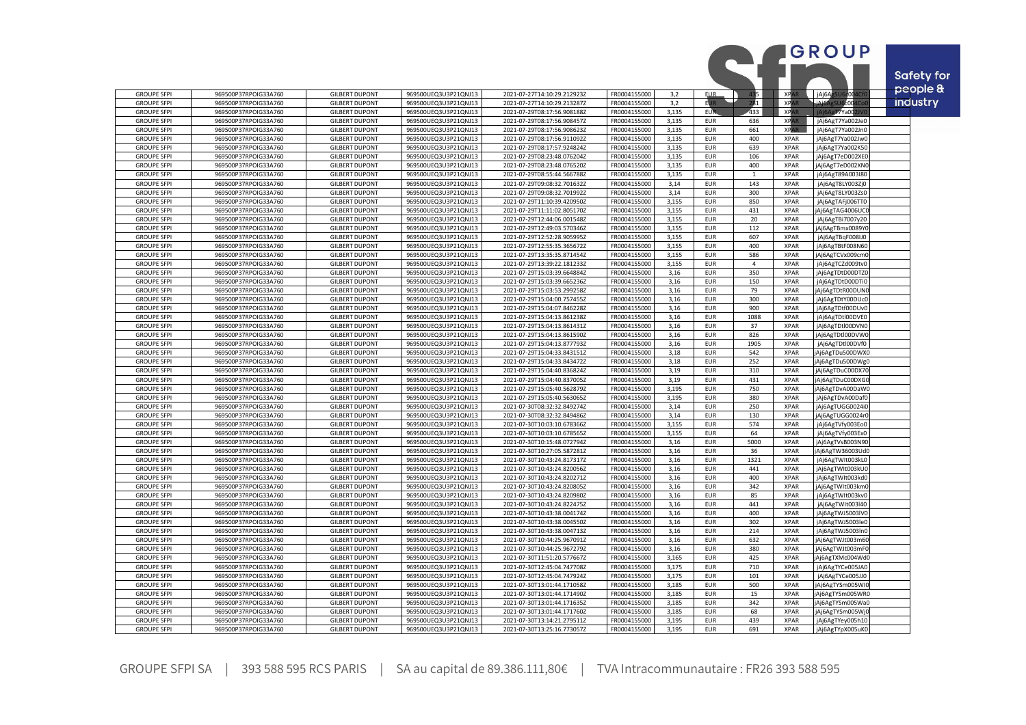|                                          |                                              |                                                |                                              |                                                            |                              |                |                          |                |                            | <b>GROUP</b>                         |            |
|------------------------------------------|----------------------------------------------|------------------------------------------------|----------------------------------------------|------------------------------------------------------------|------------------------------|----------------|--------------------------|----------------|----------------------------|--------------------------------------|------------|
|                                          |                                              |                                                |                                              |                                                            |                              |                |                          |                |                            |                                      | Safety for |
|                                          |                                              |                                                |                                              |                                                            |                              |                |                          |                |                            |                                      | people &   |
| <b>GROUPE SFPI</b>                       | 969500P37RPOIG33A760                         | <b>GILBERT DUPONT</b>                          | 969500UEQ3U3P21QNJ13                         | 2021-07-27T14:10:29.212923Z                                | FR0004155000                 | 3,2            | <b>EUR</b>               | 135            | <b>XPAR</b>                | jAj6Ag<br>c004                       |            |
| <b>GROUPE SFPI</b>                       | 969500P37RPOIG33A760                         | <b>GILBERT DUPONT</b>                          | 969500UEQ3U3P21QNJ13                         | 2021-07-27T14:10:29.213287Z                                | FR0004155000                 | 3,2            | <b>EUR</b>               | 281            | <b>XPAR</b><br><b>XPAR</b> | LiAi6AgSL<br><b>J6c004Co</b>         | industry   |
| <b>GROUPE SFPI</b><br><b>GROUPE SFPI</b> | 969500P37RPOIG33A760<br>969500P37RPOIG33A760 | <b>GILBERT DUPONT</b><br><b>GILBERT DUPONT</b> | 969500UEQ3U3P21QNJ13<br>969500UEQ3U3P21QNJ13 | 2021-07-29T08:17:56.908188Z<br>2021-07-29T08:17:56.908457Z | FR0004155000<br>FR0004155000 | 3,135<br>3.135 | <b>EUR</b><br><b>EUR</b> | 433<br>636     | <b>XPAR</b>                | $\sqrt{7}$ Ya00<br>jAj6AgT7Ya002Je0  |            |
| <b>GROUPE SFPI</b>                       | 969500P37RPOIG33A760                         | <b>GILBERT DUPONT</b>                          | 969500UEQ3U3P21QNJ13                         | 2021-07-29T08:17:56.908623Z                                | FR0004155000                 | 3,135          | <b>EUR</b>               | 661            | <b>XPAR</b>                | jAj6AgT7Ya002Jn0                     |            |
| <b>GROUPE SFP</b>                        | 969500P37RPOIG33A760                         | <b>GILBERT DUPONT</b>                          | 969500UEQ3U3P21QNJ13                         | 2021-07-29T08:17:56.911092Z                                | FR0004155000                 | 3.135          | <b>EUR</b>               | 400            | <b>XPAR</b>                | jAj6AgT7Ya002Jw0                     |            |
| <b>GROUPE SFPI</b>                       | 969500P37RPOIG33A760                         | <b>GILBERT DUPONT</b>                          | 969500UEQ3U3P21QNJ13                         | 2021-07-29T08:17:57.924824Z                                | FR0004155000                 | 3,135          | <b>EUR</b>               | 639            | <b>XPAR</b>                | jAj6AgT7Ya002K50                     |            |
| <b>GROUPE SFPI</b>                       | 969500P37RPOIG33A760                         | <b>GILBERT DUPONT</b>                          | 969500UEQ3U3P21QNJ13                         | 2021-07-29T08:23:48.076204Z                                | FR0004155000                 | 3,135          | <b>EUR</b>               | 106            | <b>XPAR</b>                | jAj6AgT7eD002XEC                     |            |
| <b>GROUPE SFPI</b>                       | 969500P37RPOIG33A760                         | <b>GILBERT DUPONT</b>                          | 969500UEQ3U3P21QNJ13                         | 2021-07-29T08:23:48.076520Z                                | FR0004155000                 | 3,135          | <b>EUR</b>               | 400            | <b>XPAR</b>                | jAj6AgT7eD002XN0                     |            |
| <b>GROUPE SFPI</b>                       | 969500P37RPOIG33A760                         | <b>GILBERT DUPONT</b>                          | 969500UEQ3U3P21QNJ13                         | 2021-07-29T08:55:44.566788Z                                | FR0004155000                 | 3,135          | <b>EUR</b>               | $\mathbf{1}$   | <b>XPAR</b>                | jAj6AgT89A003I80                     |            |
| <b>GROUPE SFPI</b>                       | 969500P37RPOIG33A760                         | <b>GILBERT DUPONT</b>                          | 969500UEQ3U3P21QNJ13                         | 2021-07-29T09:08:32.701632Z                                | FR0004155000                 | 3,14           | <b>EUR</b>               | 143            | <b>XPAR</b>                | jAj6AgT8LY003Zj0                     |            |
| <b>GROUPE SFPI</b>                       | 969500P37RPOIG33A760                         | <b>GILBERT DUPONT</b>                          | 969500UEQ3U3P21QNJ13                         | 2021-07-29T09:08:32.701992Z                                | FR0004155000                 | 3,14           | <b>EUR</b>               | 300            | <b>XPAR</b>                | jAj6AgT8LY003Zs0                     |            |
| <b>GROUPE SFPI</b><br><b>GROUPE SFPI</b> | 969500P37RPOIG33A760<br>969500P37RPOIG33A760 | <b>GILBERT DUPONT</b><br><b>GILBERT DUPONT</b> | 969500UEQ3U3P21QNJ13<br>969500UEQ3U3P21QNJ13 | 2021-07-29T11:10:39.420950Z<br>2021-07-29T11:11:02.805170Z | FR0004155000<br>FR0004155000 | 3,155<br>3,155 | <b>EUR</b><br><b>EUR</b> | 850<br>431     | <b>XPAR</b><br><b>XPAR</b> | jAj6AgTAFj006TT0<br>jAj6AgTAG4006UC  |            |
| <b>GROUPE SFPI</b>                       | 969500P37RPOIG33A760                         | <b>GILBERT DUPONT</b>                          | 969500UEQ3U3P21QNJ13                         | 2021-07-29T12:44:06.001548Z                                | FR0004155000                 | 3,155          | <b>EUR</b>               | 20             | <b>XPAR</b>                | jAj6AgTBi7007y20                     |            |
| <b>GROUPE SFPI</b>                       | 969500P37RPOIG33A760                         | <b>GILBERT DUPONT</b>                          | 969500UEQ3U3P21QNJ13                         | 2021-07-29T12:49:03.570346Z                                | FR0004155000                 | 3,155          | EUR                      | 112            | <b>XPAR</b>                | jAj6AgTBmx0089Y0                     |            |
| <b>GROUPE SFPI</b>                       | 969500P37RPOIG33A760                         | <b>GILBERT DUPONT</b>                          | 969500UEQ3U3P21QNJ13                         | 2021-07-29T12:52:28.905995Z                                | FR0004155000                 | 3,155          | <b>EUR</b>               | 607            | <b>XPAR</b>                | jAj6AgTBqF008IJ0                     |            |
| <b>GROUPE SFP</b>                        | 969500P37RPOIG33A760                         | <b>GILBERT DUPONT</b>                          | 969500UEQ3U3P21QNJ13                         | 2021-07-29T12:55:35.365672Z                                | FR0004155000                 | 3,155          | EUR                      | 400            | <b>XPAR</b>                | jAj6AgTBtF008N60                     |            |
| <b>GROUPE SFPI</b>                       | 969500P37RPOIG33A760                         | <b>GILBERT DUPONT</b>                          | 969500UEQ3U3P21QNJ13                         | 2021-07-29T13:35:35.871454Z                                | FR0004155000                 | 3,155          | EUR                      | 586            | <b>XPAR</b>                | jAj6AgTCVx009cm0                     |            |
| <b>GROUPE SFPI</b>                       | 969500P37RPOIG33A760                         | <b>GILBERT DUPONT</b>                          | 969500UEQ3U3P21QNJ13                         | 2021-07-29T13:39:22.181233Z                                | FR0004155000                 | 3,155          | <b>EUR</b>               | $\overline{4}$ | <b>XPAR</b>                | jAj6AgTCZd009tv0                     |            |
| <b>GROUPE SFPI</b>                       | 969500P37RPOIG33A760                         | <b>GILBERT DUPONT</b>                          | 969500UEQ3U3P21QNJ13                         | 2021-07-29T15:03:39.664884Z                                | FR0004155000                 | 3,16           | <b>EUR</b>               | 350            | <b>XPAR</b>                | jAj6AgTDtD00DTZC                     |            |
| <b>GROUPE SFPI</b>                       | 969500P37RPOIG33A760                         | <b>GILBERT DUPONT</b>                          | 969500UEQ3U3P21QNJ13                         | 2021-07-29T15:03:39.665236Z                                | FR0004155000                 | 3,16           | <b>EUR</b>               | 150            | <b>XPAR</b>                | jAj6AgTDtD00DTi0                     |            |
| <b>GROUPE SFPI</b>                       | 969500P37RPOIG33A760                         | <b>GILBERT DUPONT</b>                          | 969500UEQ3U3P21QNJ13                         | 2021-07-29T15:03:53.299258Z                                | FR0004155000                 | 3,16           | <b>EUR</b>               | 79             | <b>XPAR</b>                | Aj6AgTDtR00DUNC                      |            |
| <b>GROUPE SFPI</b>                       | 969500P37RPOIG33A760                         | <b>GILBERT DUPONT</b>                          | 969500UEQ3U3P21QNJ13                         | 2021-07-29T15:04:00.757455Z                                | FR0004155000                 | 3,16           | EUR                      | 300            | <b>XPAR</b>                | jAj6AgTDtY00DUcC                     |            |
| <b>GROUPE SFPI</b><br><b>GROUPE SFPI</b> | 969500P37RPOIG33A760<br>969500P37RPOIG33A760 | <b>GILBERT DUPONT</b><br><b>GILBERT DUPONT</b> | 969500UEQ3U3P21QNJ13<br>969500UEQ3U3P21QNJ13 | 2021-07-29T15:04:07.846228Z                                | FR0004155000<br>FR0004155000 | 3,16<br>3,16   | <b>EUR</b><br><b>EUR</b> | 900<br>1088    | <b>XPAR</b><br><b>XPAR</b> | jAj6AgTDtf00DUv0<br>jAj6AgTDtl00DVE0 |            |
| <b>GROUPE SFPI</b>                       | 969500P37RPOIG33A760                         | <b>GILBERT DUPONT</b>                          | 969500UEQ3U3P21QNJ13                         | 2021-07-29T15:04:13.861238Z<br>2021-07-29T15:04:13.861431Z | FR0004155000                 | 3,16           | <b>EUR</b>               | 37             | <b>XPAR</b>                | jAj6AgTDtl00DVN0                     |            |
| <b>GROUPE SFPI</b>                       | 969500P37RPOIG33A760                         | <b>GILBERT DUPONT</b>                          | 969500UEQ3U3P21QNJ13                         | 2021-07-29T15:04:13.861590Z                                | FR0004155000                 | 3,16           | <b>EUR</b>               | 826            | <b>XPAR</b>                | jAj6AgTDtl00DVW0                     |            |
| <b>GROUPE SFPI</b>                       | 969500P37RPOIG33A760                         | <b>GILBERT DUPONT</b>                          | 969500UEQ3U3P21QNJ13                         | 2021-07-29T15:04:13.877793Z                                | FR0004155000                 | 3.16           | <b>EUR</b>               | 1905           | <b>XPAR</b>                | jAj6AgTDtl00DVf0                     |            |
| <b>GROUPE SFPI</b>                       | 969500P37RPOIG33A760                         | <b>GILBERT DUPONT</b>                          | 969500UEQ3U3P21QNJ13                         | 2021-07-29T15:04:33.843151Z                                | FR0004155000                 | 3,18           | <b>EUR</b>               | 542            | <b>XPAR</b>                | Aj6AgTDu500DWX0                      |            |
| <b>GROUPE SFPI</b>                       | 969500P37RPOIG33A760                         | <b>GILBERT DUPONT</b>                          | 969500UEQ3U3P21QNJ13                         | 2021-07-29T15:04:33.843472Z                                | FR0004155000                 | 3,18           | <b>EUR</b>               | 252            | <b>XPAR</b>                | jAj6AgTDu500DWg0                     |            |
| <b>GROUPE SFPI</b>                       | 969500P37RPOIG33A760                         | <b>GILBERT DUPONT</b>                          | 969500UEQ3U3P21QNJ13                         | 2021-07-29T15:04:40.836824Z                                | FR0004155000                 | 3,19           | <b>EUR</b>               | 310            | <b>XPAR</b>                | Ai6AgTDuC00DX70                      |            |
| <b>GROUPE SFPI</b>                       | 969500P37RPOIG33A760                         | <b>GILBERT DUPONT</b>                          | 969500UEQ3U3P21QNJ13                         | 2021-07-29T15:04:40.837005Z                                | FR0004155000                 | 3,19           | <b>EUR</b>               | 431            | <b>XPAR</b>                | jAj6AgTDuC00DXG0                     |            |
| <b>GROUPE SFPI</b>                       | 969500P37RPOIG33A760                         | <b>GILBERT DUPONT</b>                          | 969500UEQ3U3P21QNJ13                         | 2021-07-29T15:05:40.562879Z                                | FR0004155000                 | 3,195          | <b>EUR</b>               | 750            | <b>XPAR</b>                | Aj6AgTDvA00DaW0                      |            |
| <b>GROUPE SFP</b>                        | 969500P37RPOIG33A760                         | <b>GILBERT DUPONT</b>                          | 969500UEQ3U3P21QNJ13                         | 2021-07-29T15:05:40.563065Z                                | FR0004155000                 | 3,195          | <b>EUR</b>               | 380            | <b>XPAR</b>                | jAj6AgTDvA00Daf0                     |            |
| <b>GROUPE SFPI</b><br><b>GROUPE SFPI</b> | 969500P37RPOIG33A760<br>969500P37RPOIG33A760 | <b>GILBERT DUPONT</b><br><b>GILBERT DUPONT</b> | 969500UEQ3U3P21QNJ13<br>969500UEQ3U3P21QNJ13 | 2021-07-30T08:32:32.849274Z<br>2021-07-30T08:32:32.849486Z | FR0004155000<br>FR0004155000 | 3,14<br>3,14   | EUR<br><b>EUR</b>        | 250<br>130     | <b>XPAR</b><br><b>XPAR</b> | jAj6AgTUGG0024i0<br>jAj6AgTUGG0024r0 |            |
| <b>GROUPE SFPI</b>                       | 969500P37RPOIG33A760                         | <b>GILBERT DUPONT</b>                          | 969500UEQ3U3P21QNJ13                         | 2021-07-30T10:03:10.678366Z                                | FR0004155000                 | 3,155          | <b>EUR</b>               | 574            | <b>XPAR</b>                | jAj6AgTVfy003Eo0                     |            |
| <b>GROUPE SFPI</b>                       | 969500P37RPOIG33A760                         | <b>GILBERT DUPONT</b>                          | 969500UEQ3U3P21QNJ13                         | 2021-07-30T10:03:10.678565Z                                | FR0004155000                 | 3,155          | <b>EUR</b>               | 64             | <b>XPAR</b>                | jAj6AgTVfy003Ex0                     |            |
| <b>GROUPE SFPI</b>                       | 969500P37RPOIG33A760                         | <b>GILBERT DUPONT</b>                          | 969500UEQ3U3P21QNJ13                         | 2021-07-30T10:15:48.072794Z                                | FR0004155000                 | 3,16           | <b>EUR</b>               | 5000           | <b>XPAR</b>                | jAj6AgTVsB003N90                     |            |
| <b>GROUPE SFPI</b>                       | 969500P37RPOIG33A760                         | <b>GILBERT DUPONT</b>                          | 969500UEQ3U3P21QNJ13                         | 2021-07-30T10:27:05.587281Z                                | FR0004155000                 | 3,16           | <b>EUR</b>               | 36             | <b>XPAR</b>                | Aj6AgTW36003Ud0                      |            |
| <b>GROUPE SFPI</b>                       | 969500P37RPOIG33A760                         | <b>GILBERT DUPONT</b>                          | 969500UEQ3U3P21QNJ13                         | 2021-07-30T10:43:24.817317Z                                | FR0004155000                 | 3,16           | <b>EUR</b>               | 1321           | <b>XPAR</b>                | jAj6AgTWIt003kL0                     |            |
| <b>GROUPE SFPI</b>                       | 969500P37RPOIG33A760                         | <b>GILBERT DUPONT</b>                          | 969500UEQ3U3P21QNJ13                         | 2021-07-30T10:43:24.820056Z                                | FR0004155000                 | 3,16           | <b>EUR</b>               | 441            | <b>XPAR</b>                | jAj6AgTWIt003kUC                     |            |
| <b>GROUPE SFPI</b>                       | 969500P37RPOIG33A760                         | <b>GILBERT DUPONT</b>                          | 969500UEQ3U3P21QNJ13                         | 2021-07-30T10:43:24.820271Z                                | FR0004155000                 | 3,16           | <b>EUR</b>               | 400            | <b>XPAR</b>                | jAj6AgTWIt003kd0                     |            |
| <b>GROUPE SFPI</b>                       | 969500P37RPOIG33A760                         | <b>GILBERT DUPONT</b>                          | 969500UEQ3U3P21QNJ13                         | 2021-07-30T10:43:24.820805Z                                | FR0004155000                 | 3,16           | <b>EUR</b>               | 342            | <b>XPAR</b>                | jAj6AgTWIt003kmC                     |            |
| <b>GROUPE SFPI</b>                       | 969500P37RPOIG33A760                         | <b>GILBERT DUPONT</b>                          | 969500UEQ3U3P21QNJ13                         | 2021-07-30T10:43:24.820980Z                                | FR0004155000                 | 3,16           | <b>EUR</b>               | 85             | <b>XPAR</b>                | jAj6AgTWIt003kv0                     |            |
| <b>GROUPE SFPI</b><br><b>GROUPE SFPI</b> | 969500P37RPOIG33A760<br>969500P37RPOIG33A760 | <b>GILBERT DUPONT</b><br><b>GILBERT DUPONT</b> | 969500UEQ3U3P21QNJ13<br>969500UEQ3U3P21QNJ13 | 2021-07-30T10:43:24.822475Z<br>2021-07-30T10:43:38.004174Z | FR0004155000<br>FR0004155000 | 3,16<br>3,16   | <b>EUR</b><br><b>EUR</b> | 441<br>400     | <b>XPAR</b><br><b>XPAR</b> | jAj6AgTWIt003l40<br>jAj6AgTWJ5003lV0 |            |
| <b>GROUPE SFPI</b>                       | 969500P37RPOIG33A760                         | <b>GILBERT DUPONT</b>                          | 969500UEQ3U3P21QNJ13                         | 2021-07-30T10:43:38.004550Z                                | FR0004155000                 | 3,16           | <b>EUR</b>               | 302            | <b>XPAR</b>                | jAj6AgTWJ5003le0                     |            |
| <b>GROUPE SFPI</b>                       | 969500P37RPOIG33A760                         | <b>GILBERT DUPONT</b>                          | 969500UEQ3U3P21QNJ13                         | 2021-07-30T10:43:38.004713Z                                | FR0004155000                 | 3,16           | <b>EUR</b>               | 214            | <b>XPAR</b>                | jAj6AgTWJ5003ln0                     |            |
| <b>GROUPE SFPI</b>                       | 969500P37RPOIG33A760                         | <b>GILBERT DUPONT</b>                          | 969500UEQ3U3P21QNJ13                         | 2021-07-30T10:44:25.967091Z                                | FR0004155000                 | 3,16           | <b>EUR</b>               | 632            | <b>XPAR</b>                | jAj6AgTWJt003m60                     |            |
| <b>GROUPE SFPI</b>                       | 969500P37RPOIG33A760                         | <b>GILBERT DUPONT</b>                          | 969500UEQ3U3P21QNJ13                         | 2021-07-30T10:44:25.967279Z                                | FR0004155000                 | 3,16           | <b>EUR</b>               | 380            | <b>XPAR</b>                | jAj6AgTWJt003mF0                     |            |
| <b>GROUPE SFPI</b>                       | 969500P37RPOIG33A760                         | <b>GILBERT DUPONT</b>                          | 969500UEQ3U3P21QNJ13                         | 2021-07-30T11:51:20.577667Z                                | FR0004155000                 | 3,165          | <b>EUR</b>               | 425            | <b>XPAR</b>                | Aj6AgTXMc004Wd0                      |            |
| <b>GROUPE SFPI</b>                       | 969500P37RPOIG33A760                         | <b>GILBERT DUPONT</b>                          | 969500UEQ3U3P21QNJ13                         | 2021-07-30T12:45:04.747708Z                                | FR0004155000                 | 3,175          | <b>EUR</b>               | 710            | <b>XPAR</b>                | jAj6AgTYCe005JA0                     |            |
| <b>GROUPE SFPI</b>                       | 969500P37RPOIG33A760                         | <b>GILBERT DUPONT</b>                          | 969500UEQ3U3P21QNJ13                         | 2021-07-30T12:45:04.747924Z                                | FR0004155000                 | 3,175          | <b>EUR</b>               | 101            | <b>XPAR</b>                | jAj6AgTYCe005JJ0                     |            |
| <b>GROUPE SFPI</b>                       | 969500P37RPOIG33A760                         | <b>GILBERT DUPONT</b>                          | 969500UEQ3U3P21QNJ13                         | 2021-07-30T13:01:44.171058Z                                | FR0004155000                 | 3,185          | <b>EUR</b>               | 500            | <b>XPAR</b>                | jAj6AgTYSm005WI0                     |            |
| <b>GROUPE SFPI</b>                       | 969500P37RPOIG33A760                         | <b>GILBERT DUPONT</b>                          | 969500UEQ3U3P21QNJ13                         | 2021-07-30T13:01:44.171490Z                                | FR0004155000                 | 3,185          | <b>EUR</b>               | 15             | <b>XPAR</b>                | Aj6AgTYSm005WR0                      |            |
| <b>GROUPE SFPI</b>                       | 969500P37RPOIG33A760                         | <b>GILBERT DUPONT</b>                          | 969500UEQ3U3P21QNJ13                         | 2021-07-30T13:01:44.171635Z                                | FR0004155000                 | 3,185          | <b>EUR</b>               | 342            | <b>XPAR</b><br><b>XPAR</b> | Aj6AgTYSm005Wa0                      |            |
| <b>GROUPE SFPI</b><br><b>GROUPE SFP</b>  | 969500P37RPOIG33A760<br>969500P37RPOIG33A760 | <b>GILBERT DUPONT</b><br><b>GILBERT DUPONT</b> | 969500UEQ3U3P21QNJ13<br>969500UEQ3U3P21QNJ13 | 2021-07-30T13:01:44.171760Z<br>2021-07-30T13:14:21.279511Z | FR0004155000<br>FR0004155000 | 3,185<br>3,195 | <b>EUR</b><br><b>EUR</b> | 68<br>439      | <b>XPAR</b>                | jAj6AgTYSm005Wj0<br>jAj6AgTYey005h10 |            |
| <b>GROUPE SFPI</b>                       | 969500P37RPOIG33A760                         | <b>GILBERT DUPONT</b>                          | 969500UEQ3U3P21QNJ13                         | 2021-07-30T13:25:16.773057Z                                | FR0004155000                 | 3,195          | <b>EUR</b>               | 691            | <b>XPAR</b>                | jAj6AgTYpX005uK0                     |            |
|                                          |                                              |                                                |                                              |                                                            |                              |                |                          |                |                            |                                      |            |